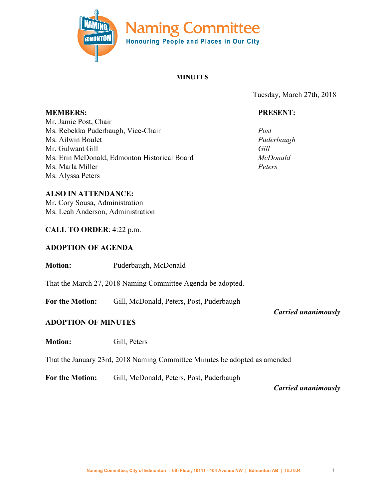

#### **MINUTES**

Tuesday, March 27th, 2018

### **PRESENT:**

*Puderbaugh*

*McDonald Peters*

*Post*

*Gill*

Mr. Jamie Post, Chair Ms. Rebekka Puderbaugh, Vice-Chair Ms. Ailwin Boulet Mr. Gulwant Gill Ms. Erin McDonald, Edmonton Historical Board Ms. Marla Miller Ms. Alyssa Peters

#### **ALSO IN ATTENDANCE:**

Mr. Cory Sousa, Administration Ms. Leah Anderson, Administration

### **CALL TO ORDER**: 4:22 p.m.

#### **ADOPTION OF AGENDA**

**Motion:** Puderbaugh, McDonald

That the March 27, 2018 Naming Committee Agenda be adopted.

For the Motion: Gill, McDonald, Peters, Post, Puderbaugh

*Carried unanimously*

### **ADOPTION OF MINUTES**

**Motion:** Gill, Peters

That the January 23rd, 2018 Naming Committee Minutes be adopted as amended

For the Motion: Gill, McDonald, Peters, Post, Puderbaugh

*Carried unanimously*

**MEMBERS:**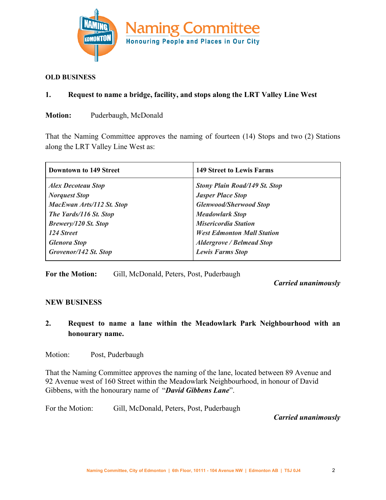

#### **OLD BUSINESS**

### **1. Request to name a bridge, facility, and stops along the LRT Valley Line West**

**Motion:** Puderbaugh, McDonald

That the Naming Committee approves the naming of fourteen (14) Stops and two (2) Stations along the LRT Valley Line West as:

| <b>Downtown to 149 Street</b> | <b>149 Street to Lewis Farms</b>     |
|-------------------------------|--------------------------------------|
| <b>Alex Decoteau Stop</b>     | <b>Stony Plain Road/149 St. Stop</b> |
| <b>Norquest Stop</b>          | <b>Jasper Place Stop</b>             |
| MacEwan Arts/112 St. Stop     | <b>Glenwood/Sherwood Stop</b>        |
| The Yards/116 St. Stop        | <b>Meadowlark Stop</b>               |
| <b>Brewery/120 St. Stop</b>   | <b>Misericordia Station</b>          |
| 124 Street                    | <b>West Edmonton Mall Station</b>    |
| <b>Glenora Stop</b>           | <b>Aldergrove / Belmead Stop</b>     |
| Grovenor/142 St. Stop         | <b>Lewis Farms Stop</b>              |

**For the Motion:** Gill, McDonald, Peters, Post, Puderbaugh

*Carried unanimously*

## **NEW BUSINESS**

**2. Request to name a lane within the Meadowlark Park Neighbourhood with an honourary name.**

Motion: Post, Puderbaugh

That the Naming Committee approves the naming of the lane, located between 89 Avenue and 92 Avenue west of 160 Street within the Meadowlark Neighbourhood, in honour of David Gibbens, with the honourary name of "*David Gibbens Lane*".

For the Motion: Gill, McDonald, Peters, Post, Puderbaugh

 *Carried unanimously*